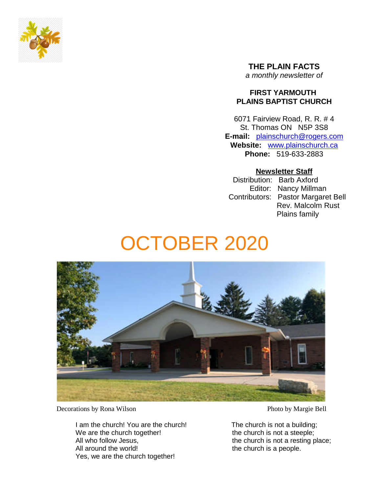

**THE PLAIN FACTS** *a monthly newsletter of*

### **FIRST YARMOUTH PLAINS BAPTIST CHURCH**

6071 Fairview Road, R. R. # 4 St. Thomas ON N5P 3S8 **E-mail:** plainschurch@rogers.com **Website:** www.plainschurch.ca **Phone:** 519-633-2883

### **Newsletter Staff**

Distribution: Barb Axford Editor: Nancy Millman Contributors: Pastor Margaret Bell Rev. Malcolm Rust Plains family

# OCTOBER 2020



Decorations by Rona Wilson Photo by Margie Bell

I am the church! You are the church! The church is not a building; We are the church together! the church is not a steeple; All who follow Jesus, the church is not a resting place; All around the world! the church is a people. Yes, we are the church together!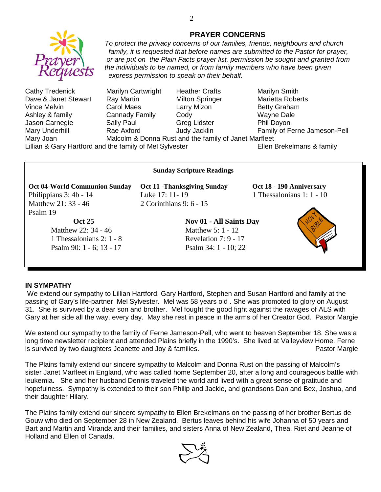

Ashley & family Cannady Family Cody Wayne Dale Jason Carnegie **Sally Paul** Greg Lidster **Phil Doyon** Mary Joan Malcolm & Donna Rust and the family of Janet Marfleet

Mary Underhill **Rae Axford** Judy Jacklin Family of Ferne Jameson-Pell

Lillian & Gary Hartford and the family of Mel Sylvester **Ellen Brekelmans & family** 

# **Oct 04-World Communion Sunday Oct 11** -**Thanksgiving Sunday Oct 18 - 190 Anniversary** Philippians 3: 4b - 14 Luke 17: 11- 19 1 Thessalonians 1: 1 - 10 Matthew 21: 33 - 46 2 Corinthians 9: 6 - 15 Psalm 19

Matthew 22: 34 - 46 Matthew 5: 1 - 12 1 Thessalonians 2: 1 - 8 Revelation 7: 9 - 17 Psalm 90: 1 - 6; 13 - 17 Psalm 34: 1 - 10; 22

**Sunday Scripture Readings**

**Oct 25** Nov 01 - All Saints Day



#### **IN SYMPATHY**

We extend our sympathy to Lillian Hartford, Gary Hartford, Stephen and Susan Hartford and family at the passing of Gary's life-partner Mel Sylvester. Mel was 58 years old . She was promoted to glory on August 31. She is survived by a dear son and brother. Mel fought the good fight against the ravages of ALS with Gary at her side all the way, every day. May she rest in peace in the arms of her Creator God. Pastor Margie

We extend our sympathy to the family of Ferne Jameson-Pell, who went to heaven September 18. She was a long time newsletter recipient and attended Plains briefly in the 1990's. She lived at Valleyview Home. Ferne is survived by two daughters Jeanette and Joy & families. The example of the Pastor Margie

The Plains family extend our sincere sympathy to Malcolm and Donna Rust on the passing of Malcolm's sister Janet Marfleet in England, who was called home September 20, after a long and courageous battle with leukemia**.** She and her husband Dennis traveled the world and lived with a great sense of gratitude and hopefulness. Sympathy is extended to their son Philip and Jackie, and grandsons Dan and Bex, Joshua, and their daughter Hilary.

The Plains family extend our sincere sympathy to Ellen Brekelmans on the passing of her brother Bertus de Gouw who died on September 28 in New Zealand. Bertus leaves behind his wife Johanna of 50 years and Bart and Martin and Miranda and their families, and sisters Anna of New Zealand, Thea, Riet and Jeanne of Holland and Ellen of Canada.



### **PRAYER CONCERNS** *To protect the privacy concerns of our families, friends, neighbours and church*

*family, it is requested that before names are submitted to the Pastor for prayer,*

*or are put on the Plain Facts prayer list, permission be sought and granted from the individuals to be named, or from family members who have been given express permission to speak on their behalf.* Cathy Tredenick Marilyn Cartwright Heather Crafts Marilyn Smith Dave & Janet Stewart Ray Martin Milton Springer Marietta Roberts Vince Melvin **Carol Maes** Larry Mizon **Betty Graham**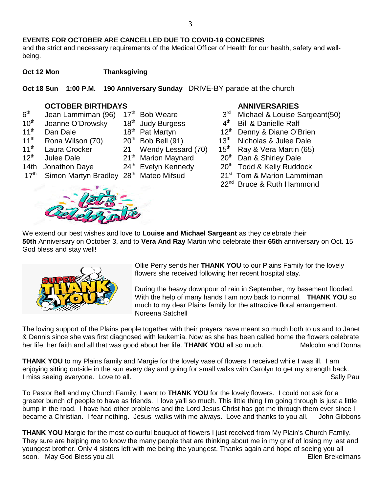#### **EVENTS FOR OCTOBER ARE CANCELLED DUE TO COVID-19 CONCERNS**

and the strict and necessary requirements of the Medical Officer of Health for our health, safety and wellbeing.

**Oct 12 Mon** Thanksgiving

**Oct 18 Sun 1:00 P.M. 190 Anniversary Sunday** DRIVE-BY parade at the church

- **OCTOBER BIRTHDAYS**<br> **COLLOGER BIRTHDAYS**<br> **OCTOBER BIRTHDAYS**<br>  $12^{th}$  Bob Weare<br>  $3^{rd}$  Michael & Louise S  $6<sup>th</sup>$ Jean Lammiman (96)  $17<sup>th</sup>$  Bob Weare  $3<sup>rd</sup>$  Michael & Louise Sargeant(50)  $10<sup>th</sup>$  Joanne O'Drowsky  $18<sup>th</sup>$  Judy Burgess  $4<sup>th</sup>$ 11<sup>th</sup> Dan Dale **18th Pat Martyn** 12<sup>th</sup> Denny & Diane O'Brien<br>11<sup>th</sup> Rona Wilson (70) 20<sup>th</sup> Bob Bell (91) 13<sup>th</sup> Nicholas & Julee Dale Rona Wilson (70)  $20^{th}$  Bob Bell (91)  $13^{th}$  Nicholas & Julee Dale 11<sup>th</sup> Laura Crocker 21 Wendy Lessard (70)  $15^{th}$  Ray & Vera Martin (65)<br>12<sup>th</sup> Julee Dale 21<sup>th</sup> Marion Maynard 20<sup>th</sup> Dan & Shirley Dale
- - - -



- 
- **Bill & Danielle Ralf**
- 
- 
- 
- Julee Dale 21<sup>th</sup> Marion Maynard 20<sup>th</sup> Dan & Shirley Dale
- 14th Jonathon Daye  $24<sup>th</sup>$  Evelyn Kennedy  $20<sup>th</sup>$  Todd & Kelly Ruddock
- 17<sup>th</sup> Simon Martyn Bradley 28<sup>th</sup> Mateo Mifsud 21<sup>st</sup> Tom & Marion Lammiman
	- 22<sup>nd</sup> Bruce & Ruth Hammond

We extend our best wishes and love to **Louise and Michael Sargeant** as they celebrate their **50th** Anniversary on October 3, and to **Vera And Ray** Martin who celebrate their **65th** anniversary on Oct. 15 God bless and stay well!



Ollie Perry sends her **THANK YOU** to our Plains Family for the lovely flowers she received following her recent hospital stay.

During the heavy downpour of rain in September, my basement flooded. With the help of many hands I am now back to normal. **THANK YOU** so much to my dear Plains family for the attractive floral arrangement. Noreena Satchell

The loving support of the Plains people together with their prayers have meant so much both to us and to Janet & Dennis since she was first diagnosed with leukemia. Now as she has been called home the flowers celebrate her life, her faith and all that was good about her life. **THANK YOU** all so much. Malcolm and Donna

**THANK YOU** to my Plains family and Margie for the lovely vase of flowers I received while I was ill. I am enjoying sitting outside in the sun every day and going for small walks with Carolyn to get my strength back. I miss seeing everyone. Love to all. Sally Paul Sally Paul Sally Paul Sally Paul Sally Paul Sally Paul Sally Paul

To Pastor Bell and my Church Family, I want to **THANK YOU** for the lovely flowers. I could not ask for a greater bunch of people to have as friends. I love ya'll so much. This little thing I'm going through is just a little bump in the road. I have had other problems and the Lord Jesus Christ has got me through them ever since I became a Christian. I fear nothing. Jesus walks with me always. Love and thanks to you all. John Gibbons

**THANK YOU** Margie for the most colourful bouquet of flowers I just received from My Plain's Church Family. They sure are helping me to know the many people that are thinking about me in my grief of losing my last and youngest brother. Only 4 sisters left with me being the youngest. Thanks again and hope of seeing you all soon. May God Bless you all. Ellen Brekelmans and the state of the state of the state of the state of the state of the state of the state of the state of the state of the state of the state of the state of the state of the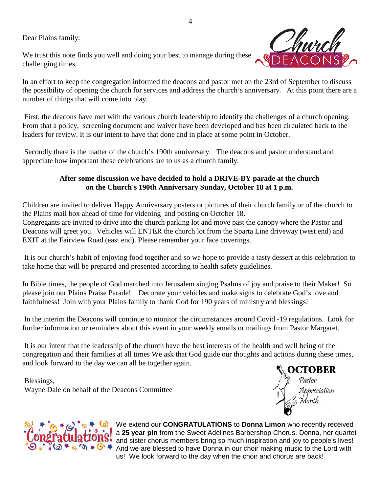Dear Plains family:

We trust this note finds you well and doing your best to manage during these challenging times.



In an effort to keep the congregation informed the deacons and pastor met on the 23rd of September to discuss the possibility of opening the church for services and address the church's anniversary. At this point there are a number of things that will come into play.

First, the deacons have met with the various church leadership to identify the challenges of a church opening. From that a policy, screening document and waiver have been developed and has been circulated back to the leaders for review. It is our intent to have that done and in place at some point in October.

Secondly there is the matter of the church's 190th anniversary. The deacons and pastor understand and appreciate how important these celebrations are to us as a church family.

## **After some discussion we have decided to hold a DRIVE-BY parade at the church on the Church's 190th Anniversary Sunday, October 18 at 1 p.m.**

Children are invited to deliver Happy Anniversary posters or pictures of their church family or of the church to the Plains mail box ahead of time for videoing and posting on October 18.

Congregants are invited to drive into the church parking lot and move past the canopy where the Pastor and Deacons will greet you. Vehicles will ENTER the church lot from the Sparta Line driveway (west end) and EXIT at the Fairview Road (east end). Please remember your face coverings.

It is our church's habit of enjoying food together and so we hope to provide a tasty dessert at this celebration to take home that will be prepared and presented according to health safety guidelines.

In Bible times, the people of God marched into Jerusalem singing Psalms of joy and praise to their Maker! So please join our Plains Praise Parade! Decorate your vehicles and make signs to celebrate God's love and faithfulness! Join with your Plains family to thank God for 190 years of ministry and blessings!

In the interim the Deacons will continue to monitor the circumstances around Covid -19 regulations. Look for further information or reminders about this event in your weekly emails or mailings from Pastor Margaret.

It is our intent that the leadership of the church have the best interests of the health and well being of the congregation and their families at all times We ask that God guide our thoughts and actions during these times, and look forward to the day we can all be together again.

Blessings, Wayne Dale on behalf of the Deacons Committee





We extend our **CONGRATULATIONS** to **Donna Limon** who recently received a **25 year pin** from the Sweet Adelines Barbershop Chorus. Donna, her quartet and sister chorus members bring so much inspiration and joy to people's lives! **A**  $\bullet$  **C**  $\bullet$  And we are blessed to have Donna in our choir making music to the Lord with us! We look forward to the day when the choir and chorus are back!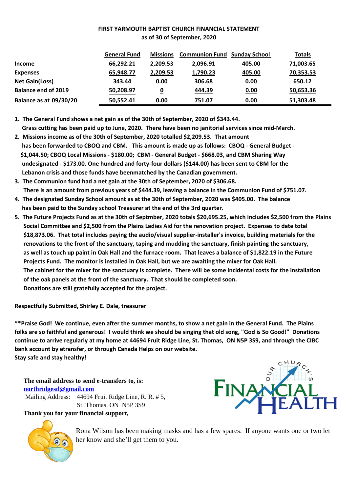### **FIRST YARMOUTH BAPTIST CHURCH FINANCIAL STATEMENT as of 30 of September, 2020**

|                            | <b>General Fund</b> | <b>Missions</b> | <b>Communion Fund Sunday School</b> |        | <b>Totals</b> |
|----------------------------|---------------------|-----------------|-------------------------------------|--------|---------------|
| <b>Income</b>              | 66,292.21           | 2.209.53        | 2.096.91                            | 405.00 | 71,003.65     |
| <b>Expenses</b>            | 65,948.77           | 2,209.53        | 1,790.23                            | 405.00 | 70,353.53     |
| <b>Net Gain(Loss)</b>      | 343.44              | 0.00            | 306.68                              | 0.00   | 650.12        |
| <b>Balance end of 2019</b> | 50,208.97           | 0               | 444.39                              | 0.00   | 50,653.36     |
| Balance as at 09/30/20     | 50,552.41           | 0.00            | 751.07                              | 0.00   | 51,303.48     |

**1. The General Fund shows a net gain as of the 30th of September, 2020 of \$343.44. Grass cutting has been paid up to June, 2020. There have been no janitorial services since mid-March.**

- **2. Missions income as of the 30th of September, 2020 totalled \$2,209.53. That amount has been forwarded to CBOQ and CBM. This amount is made up as follows: CBOQ - General Budget - \$1,044.50; CBOQ Local Missions - \$180.00; CBM - General Budget - \$668.03, and CBM Sharing Way undesignated - \$173.00. One hundred and forty-four dollars (\$144.00) has been sent to CBM for the Lebanon crisis and those funds have beenmatched by the Canadian government.**
- **3. The Communion fund had a net gain at the 30th of September, 2020 of \$306.68. There is an amount from previous years of \$444.39, leaving a balance in the Communion Fund of \$751.07.**
- **4. The designated Sunday School amount as at the 30th of September, 2020 was \$405.00. The balance has been paid to the Sunday school Treasurer at the end of the 3rd quarter.**
- **5. The Future Projects Fund as at the 30th of Septmber, 2020 totals \$20,695.25, which includes \$2,500 from the Plains Social Committee and \$2,500 from the Plains Ladies Aid for the renovation project. Expenses to date total \$18,873.06. That total includes paying the audio/visual supplier-installer's invoice, building materials for the renovations to the front of the sanctuary, taping and mudding the sanctuary, finish painting the sanctuary, as well as touch up paint in Oak Hall and the furnace room. That leaves a balance of \$1,822.19 in the Future Projects Fund. The monitor is installed in Oak Hall, but we are awaiting the mixer for Oak Hall. The cabinet for the mixer for the sanctuary is complete. There will be some incidental costs for the installation of the oak panels at the front of the sanctuary. That should be completed soon. Donations are still gratefully accepted for the project.**

**Respectfully Submitted, Shirley E. Dale, treasurer**

**\*\*Praise God! We continue, even after the summer months, to show a net gain in the General Fund. The Plains folks are so faithful and generous! I would think we should be singing that old song, "God is So Good!" Donations continue to arrive regularly at my home at 44694 Fruit Ridge Line, St. Thomas, ON N5P 3S9, and through the CIBC bank account by etransfer, or through Canada Helps on our website. Stay safe and stay healthy!**

**The email address to send e-transfers to, is: northridgesd@gmail.com** Mailing Address: 44694 Fruit Ridge Line, R. R. # 5, St. Thomas, ON N5P 3S9

**Thank you for your financial support,**





Rona Wilson has been making masks and has a few spares. If anyone wants one or two let her know and she'll get them to you.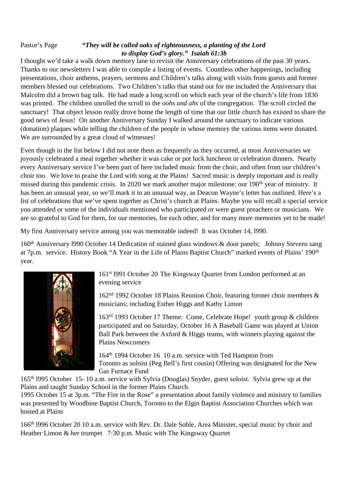### Pastor's Page *"They will be called oaks of righteousness, a planting of the Lord to display God's glory." Isaiah 61:3b*

I thought we'd take a walk down memory lane to revisit the Anniversary celebrations of the past 30 years. Thanks to our newsletters I was able to compile a listing of events. Countless other happenings, including presentations, choir anthems, prayers, sermons and Children's talks along with visits from guests and former members blessed our celebrations. Two Children's talks that stand out for me included the Anniversary that Malcolm did a brown bag talk. He had made a long scroll on which each year of the church's life from 1830 was printed. The children unrolled the scroll to the *oohs and ahs* of the congregation. The scroll circled the sanctuary! That object lesson really drove home the length of time that our little church has existed to share the good news of Jesus! On another Anniversary Sunday I walked around the sanctuary to indicate various (donation) plaques while telling the children of the people in whose memory the various items were donated. We are surrounded by a great cloud of witnesses!

Even though in the list below I did not note them as frequently as they occurred, at most Anniversaries we joyously celebrated a meal together whether it was cake or pot luck luncheon or celebration dinners. Nearly every Anniversary service I've been part of here included music from the choir, and often from our children's choir too. We love to praise the Lord with song at the Plains! Sacred music is deeply important and is really missed during this pandemic crisis. In 2020 we mark another major milestone: our 190<sup>th</sup> year of ministry. It has been an unusual year, so we'll mark it in an unusual way, as Deacon Wayne's letter has outlined. Here's a list of celebrations that we've spent together as Christ's church at Plains. Maybe you will recall a special service you attended or some of the individuals mentioned who participated or were guest preachers or musicians. We are so grateful to God for them, for our memories, for each other, and for many more memories yet to be made!

My first Anniversary service among you was memorable indeed! It was October 14, l990.

160th Anniversary l990 October 14 Dedication of stained glass windows & door panels; Johnny Stevens sang at 7p.m. service. History Book "A Year in the Life of Plains Baptist Church" marked events of Plains' 190th year.



161st l991 October 20 The Kingsway Quartet from London performed at an evening service

162nd 1992 October 18 Plains Reunion Choir, featuring former choir members & musicians; including Esther Higgs and Kathy Limon

163rd 1993 October 17 Theme: Come, Celebrate Hope! youth group & children participated and on Saturday, October 16 A Baseball Game was played at Union Ball Park between the Axford  $&$  Higgs teams, with winners playing against the Plains Newcomers

164th 1994 October 16 10 a.m. service with Ted Hampton from Toronto as soloist (Peg Bell's first cousin) Offering was designated for the New Gas Furnace Fund

165th l995 October 15- 10 a.m. service with Sylvia (Douglas) Snyder, guest soloist. Sylvia grew up at the Plains and taught Sunday School in the former Plains Church.

1995 October 15 at 3p.m. "The Fire in the Rose" a presentation about family violence and ministry to families was presented by Woodbine Baptist Church, Toronto to the Elgin Baptist Association Churches which was hosted at Plains

166th l996 October 20 10 a.m. service with Rev. Dr. Dale Soble, Area Minister, special music by choir and Heather Limon & her trumpet 7:30 p.m. Music with The Kingsway Quartet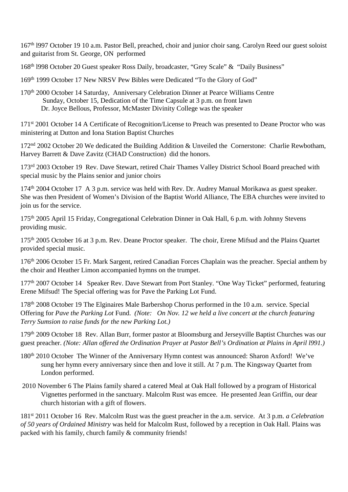167<sup>th</sup> 1997 October 19 10 a.m. Pastor Bell, preached, choir and junior choir sang. Carolyn Reed our guest soloist and guitarist from St. George, ON performed

168th l998 October 20 Guest speaker Ross Daily, broadcaster, "Grey Scale" & "Daily Business"

- 169th 1999 October 17 New NRSV Pew Bibles were Dedicated "To the Glory of God"
- 170<sup>th</sup> 2000 October 14 Saturday, Anniversary Celebration Dinner at Pearce Williams Centre Sunday, October 15, Dedication of the Time Capsule at 3 p.m. on front lawn Dr. Joyce Bellous, Professor, McMaster Divinity College was the speaker

171<sup>st</sup> 2001 October 14 A Certificate of Recognition/License to Preach was presented to Deane Proctor who was ministering at Dutton and Iona Station Baptist Churches

172<sup>nd</sup> 2002 October 20 We dedicated the Building Addition & Unveiled the Cornerstone: Charlie Rewbotham, Harvey Barrett & Dave Zavitz (CHAD Construction) did the honors.

173<sup>rd</sup> 2003 October 19 Rev. Dave Stewart, retired Chair Thames Valley District School Board preached with special music by the Plains senior and junior choirs

174<sup>th</sup> 2004 October 17 A 3 p.m. service was held with Rev. Dr. Audrey Manual Morikawa as guest speaker. She was then President of Women's Division of the Baptist World Alliance, The EBA churches were invited to join us for the service.

175th 2005 April 15 Friday, Congregational Celebration Dinner in Oak Hall, 6 p.m. with Johnny Stevens providing music.

175<sup>th</sup> 2005 October 16 at 3 p.m. Rev. Deane Proctor speaker. The choir, Erene Mifsud and the Plains Quartet provided special music.

176th 2006 October 15 Fr. Mark Sargent, retired Canadian Forces Chaplain was the preacher. Special anthem by the choir and Heather Limon accompanied hymns on the trumpet.

177<sup>th</sup> 2007 October 14 Speaker Rev. Dave Stewart from Port Stanley. "One Way Ticket" performed, featuring Erene Mifsud! The Special offering was for Pave the Parking Lot Fund.

178th 2008 October 19 The Elginaires Male Barbershop Chorus performed in the 10 a.m. service. Special Offering for *Pave the Parking Lot* Fund. *(Note: On Nov. 12 we held a live concert at the church featuring Terry Sumsion to raise funds for the new Parking Lot.)*

179th 2009 October 18 Rev. Allan Burr, former pastor at Bloomsburg and Jerseyville Baptist Churches was our guest preacher. *(Note: Allan offered the Ordination Prayer at Pastor Bell's Ordination at Plains in April l991.)*

- 180th 2010 October The Winner of the Anniversary Hymn contest was announced: Sharon Axford! We've sung her hymn every anniversary since then and love it still. At 7 p.m. The Kingsway Quartet from London performed.
- 2010 November 6 The Plains family shared a catered Meal at Oak Hall followed by a program of Historical Vignettes performed in the sanctuary. Malcolm Rust was emcee. He presented Jean Griffin, our dear church historian with a gift of flowers.

181st 2011 October 16 Rev. Malcolm Rust was the guest preacher in the a.m. service. At 3 p.m. *a Celebration of 50 years of Ordained Ministry* was held for Malcolm Rust, followed by a reception in Oak Hall. Plains was packed with his family, church family & community friends!